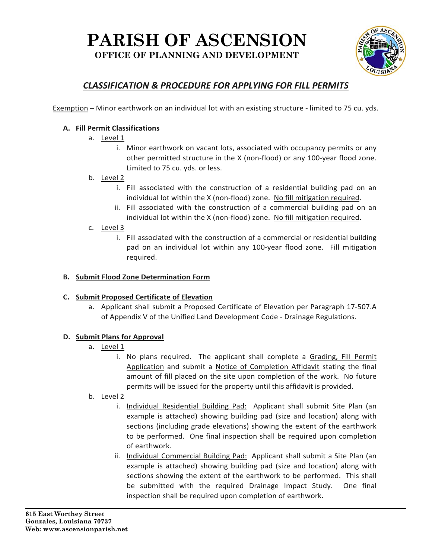## **PARISH OF ASCENSION OFFICE OF PLANNING AND DEVELOPMENT**



### *CLASSIFICATION & PROCEDURE FOR APPLYING FOR FILL PERMITS*

Exemption – Minor earthwork on an individual lot with an existing structure ‐ limited to 75 cu. yds.

#### **A. Fill Permit Classifications**

- a. Level 1
	- i. Minor earthwork on vacant lots, associated with occupancy permits or any other permitted structure in the X (non‐flood) or any 100‐year flood zone. Limited to 75 cu. yds. or less.

#### b. Level 2

- i. Fill associated with the construction of a residential building pad on an individual lot within the X (non-flood) zone. No fill mitigation required.
- ii. Fill associated with the construction of a commercial building pad on an individual lot within the X (non-flood) zone. No fill mitigation required.

#### c. Level 3

i. Fill associated with the construction of a commercial or residential building pad on an individual lot within any 100-year flood zone. Fill mitigation required.

#### **B. Submit Flood Zone Determination Form**

#### **C. Submit Proposed Certificate of Elevation**

a. Applicant shall submit a Proposed Certificate of Elevation per Paragraph 17‐507.A of Appendix V of the Unified Land Development Code ‐ Drainage Regulations.

#### **D. Submit Plans for Approval**

- a. Level 1
	- i. No plans required. The applicant shall complete a Grading, Fill Permit Application and submit a Notice of Completion Affidavit stating the final amount of fill placed on the site upon completion of the work. No future permits will be issued for the property until this affidavit is provided.
- b. Level 2
	- i. Individual Residential Building Pad: Applicant shall submit Site Plan (an example is attached) showing building pad (size and location) along with sections (including grade elevations) showing the extent of the earthwork to be performed. One final inspection shall be required upon completion of earthwork.
	- ii. Individual Commercial Building Pad: Applicant shall submit a Site Plan (an example is attached) showing building pad (size and location) along with sections showing the extent of the earthwork to be performed. This shall be submitted with the required Drainage Impact Study. One final inspection shall be required upon completion of earthwork.